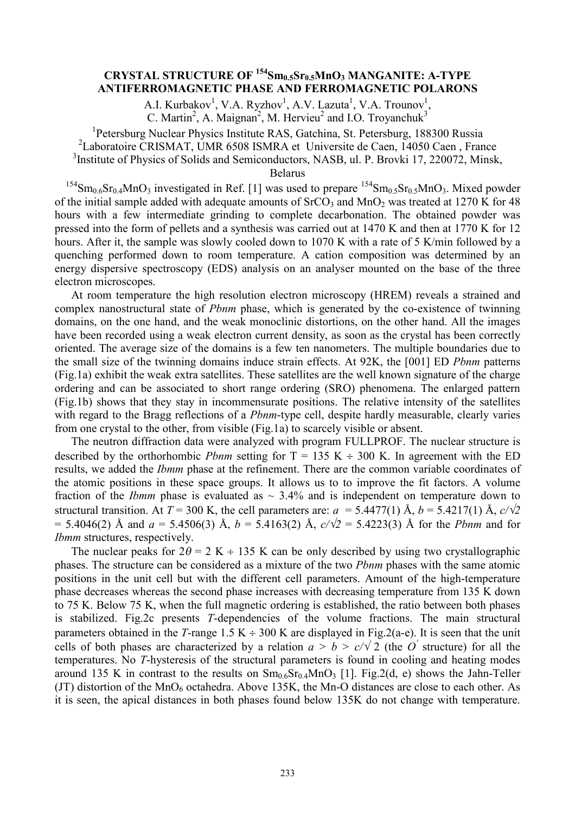## **CRYSTAL STRUCTURE OF <sup>154</sup>Sm0.5Sr0.5MnO<sup>3</sup> MANGANITE: A-TYPE ANTIFERROMAGNETIC PHASE AND FERROMAGNETIC POLARONS**

A.I. Kurbakov<sup>1</sup>, V.A. Ryzhov<sup>1</sup>, A.V. Lazuta<sup>1</sup>, V.A. Trounov<sup>1</sup>,

C. Martin<sup>2</sup>, A. Maignan<sup>2</sup>, M. Hervieu<sup>2</sup> and I.O. Troyanchuk<sup>3</sup>

<sup>1</sup>Petersburg Nuclear Physics Institute RAS, Gatchina, St. Petersburg, 188300 Russia

2 Laboratoire CRISMAT, UMR 6508 ISMRA et Universite de Caen, 14050 Caen , France

<sup>3</sup>Institute of Physics of Solids and Semiconductors, NASB, ul. P. Brovki 17, 220072, Minsk,

Belarus

<sup>154</sup>Sm<sub>0.6</sub>Sr<sub>0.4</sub>MnO<sub>3</sub> investigated in Ref. [1] was used to prepare <sup>154</sup>Sm<sub>0.5</sub>Sr<sub>0.5</sub>MnO<sub>3</sub>. Mixed powder of the initial sample added with adequate amounts of  $S<sub>1</sub>CO<sub>3</sub>$  and  $M<sub>1</sub>O<sub>2</sub>$  was treated at 1270 K for 48 hours with a few intermediate grinding to complete decarbonation. The obtained powder was pressed into the form of pellets and a synthesis was carried out at 1470 K and then at 1770 K for 12 hours. After it, the sample was slowly cooled down to 1070 K with a rate of 5 K/min followed by a quenching performed down to room temperature. A cation composition was determined by an energy dispersive spectroscopy (EDS) analysis on an analyser mounted on the base of the three electron microscopes.

At room temperature the high resolution electron microscopy (HREM) reveals a strained and complex nanostructural state of *Pbnm* phase, which is generated by the co-existence of twinning domains, on the one hand, and the weak monoclinic distortions, on the other hand. All the images have been recorded using a weak electron current density, as soon as the crystal has been correctly oriented. The average size of the domains is a few ten nanometers. The multiple boundaries due to the small size of the twinning domains induce strain effects. At 92K, the [001] ED *Pbnm* patterns (Fig.1a) exhibit the weak extra satellites. These satellites are the well known signature of the charge ordering and can be associated to short range ordering (SRO) phenomena. The enlarged pattern (Fig.1b) shows that they stay in incommensurate positions. The relative intensity of the satellites with regard to the Bragg reflections of a *Pbnm*-type cell, despite hardly measurable, clearly varies from one crystal to the other, from visible (Fig.1a) to scarcely visible or absent.

The neutron diffraction data were analyzed with program FULLPROF. The nuclear structure is described by the orthorhombic *Pbnm* setting for  $T = 135$  K  $\div$  300 K. In agreement with the ED results, we added the *Ibmm* phase at the refinement. There are the common variable coordinates of the atomic positions in these space groups. It allows us to to improve the fit factors. A volume fraction of the *Ibmm* phase is evaluated as  $\sim$  3.4% and is independent on temperature down to structural transition. At  $T = 300$  K, the cell parameters are:  $a = 5.4477(1)$  Å,  $b = 5.4217(1)$  Å,  $c/\sqrt{2}$  $= 5.4046(2)$  Å and  $a = 5.4506(3)$  Å,  $b = 5.4163(2)$  Å,  $c/\sqrt{2} = 5.4223(3)$  Å for the *Pbnm* and for *Ibmm* structures, respectively.

The nuclear peaks for  $2\theta = 2$  K  $\div$  135 K can be only described by using two crystallographic phases. The structure can be considered as a mixture of the two *Pbnm* phases with the same atomic positions in the unit cell but with the different cell parameters. Amount of the high-temperature phase decreases whereas the second phase increases with decreasing temperature from 135 K down to 75 K. Below 75 K, when the full magnetic ordering is established, the ratio between both phases is stabilized. Fig.2c presents *T*-dependencies of the volume fractions. The main structural parameters obtained in the *T*-range 1.5 K  $\div$  300 K are displayed in Fig.2(a-e). It is seen that the unit cells of both phases are characterized by a relation  $a > b > c/\sqrt{2}$  (the *O*<sup> $\prime$ </sup> structure) for all the temperatures. No *T*-hysteresis of the structural parameters is found in cooling and heating modes around 135 K in contrast to the results on  $Sm<sub>0.6</sub>Sr<sub>0.4</sub>MnO<sub>3</sub>$  [1]. Fig. 2(d, e) shows the Jahn-Teller (JT) distortion of the  $MnO<sub>6</sub>$  octahedra. Above 135K, the Mn-O distances are close to each other. As it is seen, the apical distances in both phases found below 135K do not change with temperature.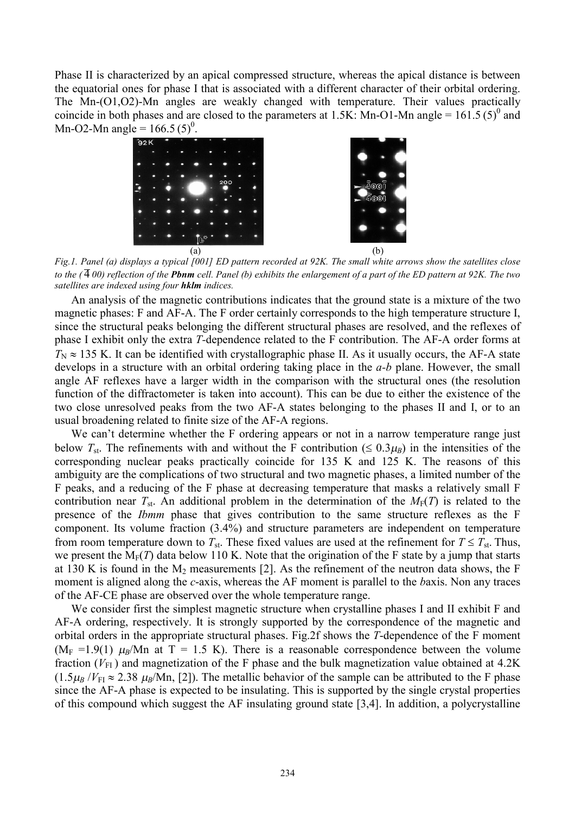Phase II is characterized by an apical compressed structure, whereas the apical distance is between the equatorial ones for phase I that is associated with a different character of their orbital ordering. The Mn-(O1,O2)-Mn angles are weakly changed with temperature. Their values practically coincide in both phases and are closed to the parameters at 1.5K: Mn-O1-Mn angle =  $161.5(5)^{0}$  and Mn-O2-Mn angle =  $166.5(5)^0$ .





Fig.1. Panel (a) displays a typical [001] ED pattern recorded at 92K. The small white arrows show the satellites close to the  $(\overline{4}00)$  reflection of the **Pbnm** cell. Panel (b) exhibits the enlargement of a part of the ED pattern at 92K. The two *satellites are indexed using four hklm indices.* 

An analysis of the magnetic contributions indicates that the ground state is a mixture of the two magnetic phases: F and AF-A. The F order certainly corresponds to the high temperature structure I, since the structural peaks belonging the different structural phases are resolved, and the reflexes of phase I exhibit only the extra *T-*dependence related to the F contribution. The AF-A order forms at  $T_N \approx 135$  K. It can be identified with crystallographic phase II. As it usually occurs, the AF-A state develops in a structure with an orbital ordering taking place in the *a-b* plane. However, the small angle AF reflexes have a larger width in the comparison with the structural ones (the resolution function of the diffractometer is taken into account). This can be due to either the existence of the two close unresolved peaks from the two AF-A states belonging to the phases II and I, or to an usual broadening related to finite size of the AF-A regions.

We can't determine whether the F ordering appears or not in a narrow temperature range just below  $T_{st}$ . The refinements with and without the F contribution ( $\leq 0.3\mu$ *B*) in the intensities of the corresponding nuclear peaks practically coincide for 135 K and 125 K. The reasons of this ambiguity are the complications of two structural and two magnetic phases, a limited number of the F peaks, and a reducing of the F phase at decreasing temperature that masks a relatively small F contribution near  $T_{st}$ . An additional problem in the determination of the  $M_F(T)$  is related to the presence of the *Ibmm* phase that gives contribution to the same structure reflexes as the F component. Its volume fraction (3.4%) and structure parameters are independent on temperature from room temperature down to  $T_{st}$ . These fixed values are used at the refinement for  $T \leq T_{st}$ . Thus, we present the  $M_F(T)$  data below 110 K. Note that the origination of the F state by a jump that starts at 130 K is found in the  $M_2$  measurements [2]. As the refinement of the neutron data shows, the F moment is aligned along the *c*-axis, whereas the AF moment is parallel to the *b*axis. Non any traces of the AF-CE phase are observed over the whole temperature range.

We consider first the simplest magnetic structure when crystalline phases I and II exhibit F and AF-A ordering, respectively. It is strongly supported by the correspondence of the magnetic and orbital orders in the appropriate structural phases. Fig.2f shows the *T*-dependence of the F moment ( $M_F$  =1.9(1)  $\mu_B$ /Mn at T = 1.5 K). There is a reasonable correspondence between the volume fraction  $(V_{FI})$  and magnetization of the F phase and the bulk magnetization value obtained at 4.2K  $(1.5\mu_B/V_{\text{FI}} \approx 2.38 \mu_B/\text{Mn}$ , [2]). The metallic behavior of the sample can be attributed to the F phase since the AF-A phase is expected to be insulating. This is supported by the single crystal properties of this compound which suggest the AF insulating ground state [3,4]. In addition, a polycrystalline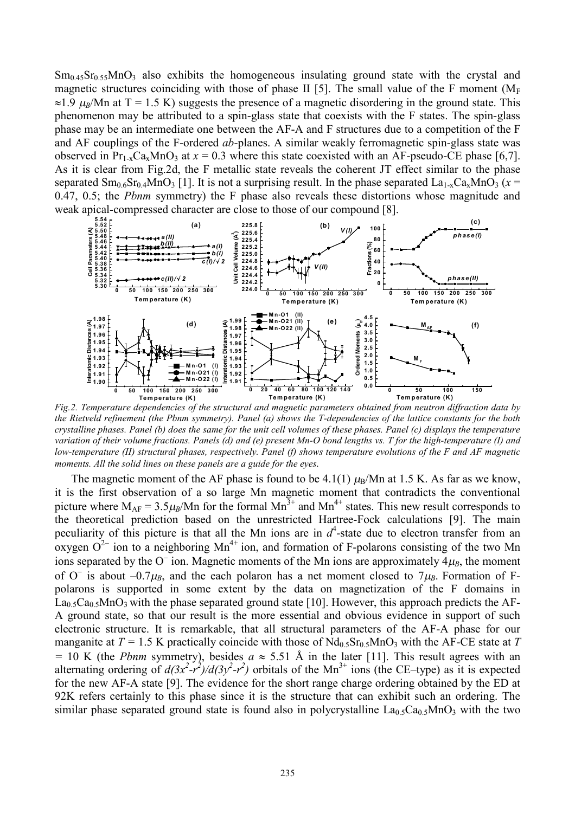$Sm<sub>0.45</sub>Sr<sub>0.55</sub>MnO<sub>3</sub>$  also exhibits the homogeneous insulating ground state with the crystal and magnetic structures coinciding with those of phase II [5]. The small value of the F moment ( $M_F$ )  $\approx$ 1.9  $\mu$ <sub>*B*</sub>/Mn at T = 1.5 K) suggests the presence of a magnetic disordering in the ground state. This phenomenon may be attributed to a spin-glass state that coexists with the F states. The spin-glass phase may be an intermediate one between the AF-A and F structures due to a competition of the F and AF couplings of the F-ordered *ab*-planes. A similar weakly ferromagnetic spin-glass state was observed in  $Pr_{1-x}Ca_xMnO_3$  at  $x = 0.3$  where this state coexisted with an AF-pseudo-CE phase [6,7]. As it is clear from Fig.2d, the F metallic state reveals the coherent JT effect similar to the phase separated  $\text{Sm}_{0.6}\text{Sr}_{0.4}\text{MnO}_3$  [1]. It is not a surprising result. In the phase separated  $\text{La}_{1-x}\text{Ca}_x\text{MnO}_3$  ( $x =$ 0.47, 0.5; the *Pbnm* symmetry) the F phase also reveals these distortions whose magnitude and weak apical-compressed character are close to those of our compound [8].



*Fig.2. Temperature dependencies of the structural and magnetic parameters obtained from neutron diffraction data by*  the Rietveld refinement (the Pbnm symmetry). Panel (a) shows the T-dependencies of the lattice constants for the both crystalline phases. Panel (b) does the same for the unit cell volumes of these phases. Panel (c) displays the temperature variation of their volume fractions. Panels (d) and (e) present Mn-O bond lengths vs. T for the high-temperature (I) and low-temperature (II) structural phases, respectively. Panel (f) shows temperature evolutions of the  $F$  and  $AF$  magnetic *moments. All the solid lines on these panels are a guide for the eyes.*

The magnetic moment of the AF phase is found to be  $4.1(1)$   $\mu_B/Mn$  at 1.5 K. As far as we know, it is the first observation of a so large Mn magnetic moment that contradicts the conventional picture where  $M_{AF} = 3.5 \mu_B/Mn$  for the formal  $Mn^{3+}$  and  $Mn^{4+}$  states. This new result corresponds to the theoretical prediction based on the unrestricted Hartree-Fock calculations [9]. The main peculiarity of this picture is that all the Mn ions are in  $d^4$ -state due to electron transfer from an oxygen  $O^{2-}$  ion to a neighboring Mn<sup>4+</sup> ion, and formation of F-polarons consisting of the two Mn ions separated by the  $O^-$  ion. Magnetic moments of the Mn ions are approximately  $4\mu_B$ , the moment of O<sup>-</sup> is about  $-0.7\mu$ <sup>B</sup>, and the each polaron has a net moment closed to  $7\mu$ <sup>B</sup>. Formation of Fpolarons is supported in some extent by the data on magnetization of the F domains in  $La<sub>0.5</sub>Ca<sub>0.5</sub>MnO<sub>3</sub>$  with the phase separated ground state [10]. However, this approach predicts the AF-A ground state, so that our result is the more essential and obvious evidence in support of such electronic structure. It is remarkable, that all structural parameters of the AF-A phase for our manganite at  $T = 1.5$  K practically coincide with those of  $Nd<sub>0.5</sub>Sr<sub>0.5</sub>MnO<sub>3</sub>$  with the AF-CE state at *T*  $=$  10 K (the *Pbnm* symmetry), besides  $a \approx 5.51$  Å in the later [11]. This result agrees with an alternating ordering of  $d(3x^2 - r^2)/d(3y^2 - r^2)$  orbitals of the Mn<sup>3+</sup> ions (the CE–type) as it is expected for the new AF-A state [9]. The evidence for the short range charge ordering obtained by the ED at 92K refers certainly to this phase since it is the structure that can exhibit such an ordering. The similar phase separated ground state is found also in polycrystalline  $La<sub>0.5</sub>Ca<sub>0.5</sub>MnO<sub>3</sub>$  with the two